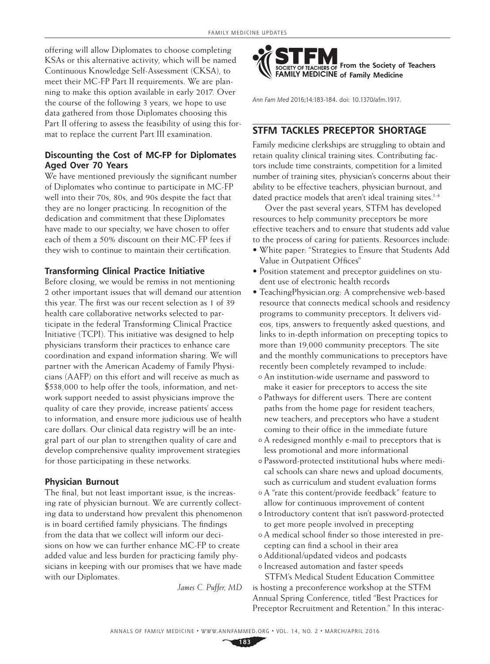offering will allow Diplomates to choose completing KSAs or this alternative activity, which will be named Continuous Knowledge Self-Assessment (CKSA), to meet their MC-FP Part II requirements. We are planning to make this option available in early 2017. Over the course of the following 3 years, we hope to use data gathered from those Diplomates choosing this Part II offering to assess the feasibility of using this format to replace the current Part III examination.

### **Discounting the Cost of MC-FP for Diplomates Aged Over 70 Years**

We have mentioned previously the significant number of Diplomates who continue to participate in MC-FP well into their 70s, 80s, and 90s despite the fact that they are no longer practicing. In recognition of the dedication and commitment that these Diplomates have made to our specialty, we have chosen to offer each of them a 50% discount on their MC-FP fees if they wish to continue to maintain their certification.

#### **Transforming Clinical Practice Initiative**

Before closing, we would be remiss in not mentioning 2 other important issues that will demand our attention this year. The first was our recent selection as 1 of 39 health care collaborative networks selected to participate in the federal Transforming Clinical Practice Initiative (TCPI). This initiative was designed to help physicians transform their practices to enhance care coordination and expand information sharing. We will partner with the American Academy of Family Physicians (AAFP) on this effort and will receive as much as \$538,000 to help offer the tools, information, and network support needed to assist physicians improve the quality of care they provide, increase patients' access to information, and ensure more judicious use of health care dollars. Our clinical data registry will be an integral part of our plan to strengthen quality of care and develop comprehensive quality improvement strategies for those participating in these networks.

#### **Physician Burnout**

The final, but not least important issue, is the increasing rate of physician burnout. We are currently collecting data to understand how prevalent this phenomenon is in board certified family physicians. The findings from the data that we collect will inform our decisions on how we can further enhance MC-FP to create added value and less burden for practicing family physicians in keeping with our promises that we have made with our Diplomates.

*James C. Puffer, MD*



*Ann Fam Med* 2016;14:183-184. doi: 10.1370/afm.1917.

# **STFM TACKLES PRECEPTOR SHORTAGE**

Family medicine clerkships are struggling to obtain and retain quality clinical training sites. Contributing factors include time constraints, competition for a limited number of training sites, physician's concerns about their ability to be effective teachers, physician burnout, and dated practice models that aren't ideal training sites.<sup>1-4</sup>

Over the past several years, STFM has developed resources to help community preceptors be more effective teachers and to ensure that students add value to the process of caring for patients. Resources include:

- White paper: "Strategies to Ensure that Students Add Value in Outpatient Offices"
- Position statement and preceptor guidelines on student use of electronic health records
- [TeachingPhysician.org:](http://TeachingPhysician.org) A comprehensive web-based resource that connects medical schools and residency programs to community preceptors. It delivers videos, tips, answers to frequently asked questions, and links to in-depth information on precepting topics to more than 19,000 community preceptors. The site and the monthly communications to preceptors have recently been completely revamped to include:
	- An institution-wide username and password to make it easier for preceptors to access the site
	- Pathways for different users. There are content paths from the home page for resident teachers, new teachers, and preceptors who have a student coming to their office in the immediate future
	- A redesigned monthly e-mail to preceptors that is less promotional and more informational
	- Password-protected institutional hubs where medical schools can share news and upload documents, such as curriculum and student evaluation forms
	- A "rate this content/provide feedback" feature to allow for continuous improvement of content
	- Introductory content that isn't password-protected to get more people involved in precepting
	- A medical school finder so those interested in precepting can find a school in their area
	- Additional/updated videos and podcasts
- Increased automation and faster speeds STFM's Medical Student Education Committee is hosting a preconference workshop at the STFM Annual Spring Conference, titled "Best Practices for Preceptor Recruitment and Retention." In this interac-

**183**